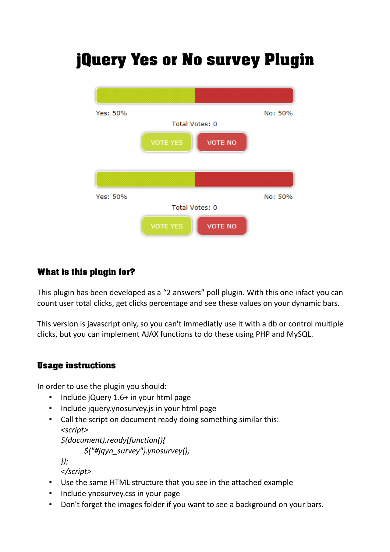# jQuery Yes or No survey Plugin



# What is this plugin for?

This plugin has been developed as a "2 answers" poll plugin. With this one infact you can count user total clicks, get clicks percentage and see these values on your dynamic bars.

This version is javascript only, so you can't immediatly use it with a db or control multiple clicks, but you can implement AJAX functions to do these using PHP and MySQL.

# Usage instructions

In order to use the plugin you should:

- Include jQuery 1.6+ in your html page
- Include jquery.ynosurvey.js in your html page
- Call the script on document ready doing something similar this: *<script>*

*\$(document).ready(function(){*

*\$("#jqyn\_survey").ynosurvey();*

*});*

*</script>*

- Use the same HTML structure that you see in the attached example
- Include ynosurvey.css in your page
- Don't forget the images folder if you want to see a background on your bars.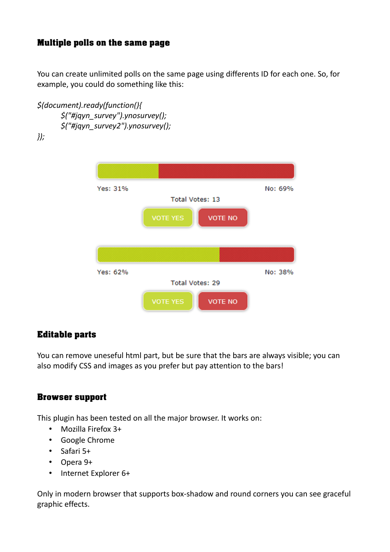## Multiple polls on the same page

You can create unlimited polls on the same page using differents ID for each one. So, for example, you could do something like this:

*\$(document).ready(function(){ \$("#jqyn\_survey").ynosurvey(); \$("#jqyn\_survey2").ynosurvey();*

*});*



## Editable parts

You can remove uneseful html part, but be sure that the bars are always visible; you can also modify CSS and images as you prefer but pay attention to the bars!

#### Browser support

This plugin has been tested on all the major browser. It works on:

- Mozilla Firefox 3+
- Google Chrome
- Safari 5+
- Opera 9+
- Internet Explorer 6+

Only in modern browser that supports box-shadow and round corners you can see graceful graphic effects.